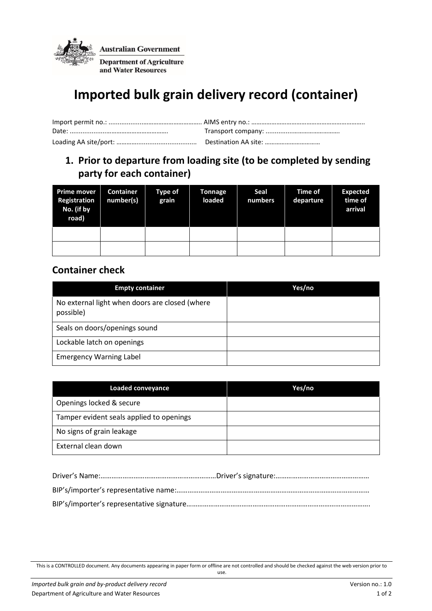

# **Imported bulk grain delivery record (container)**

## **1. Prior to departure from loading site (to be completed by sending party for each container)**

| <b>Prime mover</b><br>Registration<br>No. (if by<br>road) | Container<br>number(s) | <b>Type of</b><br>grain | Tonnage<br>loaded | Seal<br>numbers | <b>Time of</b><br>departure | <b>Expected</b><br>time of<br>arrival |
|-----------------------------------------------------------|------------------------|-------------------------|-------------------|-----------------|-----------------------------|---------------------------------------|
|                                                           |                        |                         |                   |                 |                             |                                       |
|                                                           |                        |                         |                   |                 |                             |                                       |

#### **Container check**

| <b>Empty container</b>                                      | Yes/no |
|-------------------------------------------------------------|--------|
| No external light when doors are closed (where<br>possible) |        |
| Seals on doors/openings sound                               |        |
| Lockable latch on openings                                  |        |
| <b>Emergency Warning Label</b>                              |        |

| <b>Loaded conveyance</b>                 | Yes/no |
|------------------------------------------|--------|
| Openings locked & secure                 |        |
| Tamper evident seals applied to openings |        |
| No signs of grain leakage                |        |
| External clean down                      |        |

This is a CONTROLLED document. Any documents appearing in paper form or offline are not controlled and should be checked against the web version prior to use.